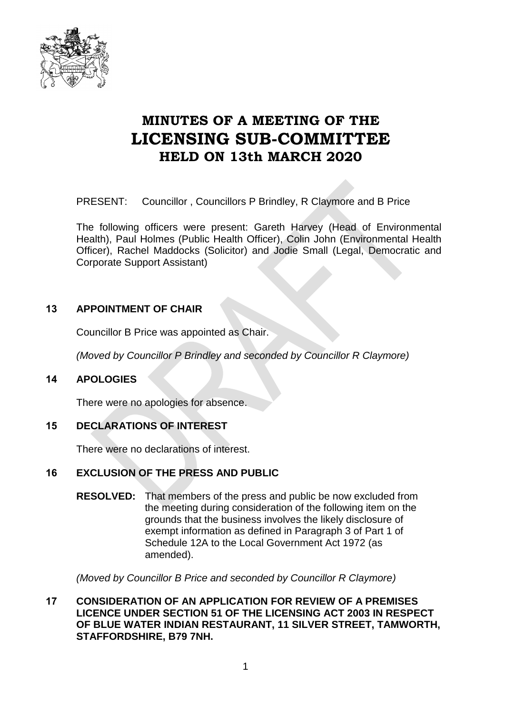

# **MINUTES OF A MEETING OF THE LICENSING SUB-COMMITTEE HELD ON 13th MARCH 2020**

PRESENT: Councillor , Councillors P Brindley, R Claymore and B Price

The following officers were present: Gareth Harvey (Head of Environmental Health), Paul Holmes (Public Health Officer), Colin John (Environmental Health Officer), Rachel Maddocks (Solicitor) and Jodie Small (Legal, Democratic and Corporate Support Assistant)

## **13 APPOINTMENT OF CHAIR**

Councillor B Price was appointed as Chair.

*(Moved by Councillor P Brindley and seconded by Councillor R Claymore)*

### **14 APOLOGIES**

There were no apologies for absence.

### **15 DECLARATIONS OF INTEREST**

There were no declarations of interest.

### **16 EXCLUSION OF THE PRESS AND PUBLIC**

**RESOLVED:** That members of the press and public be now excluded from the meeting during consideration of the following item on the grounds that the business involves the likely disclosure of exempt information as defined in Paragraph 3 of Part 1 of Schedule 12A to the Local Government Act 1972 (as amended).

*(Moved by Councillor B Price and seconded by Councillor R Claymore)*

#### **17 CONSIDERATION OF AN APPLICATION FOR REVIEW OF A PREMISES LICENCE UNDER SECTION 51 OF THE LICENSING ACT 2003 IN RESPECT OF BLUE WATER INDIAN RESTAURANT, 11 SILVER STREET, TAMWORTH, STAFFORDSHIRE, B79 7NH.**